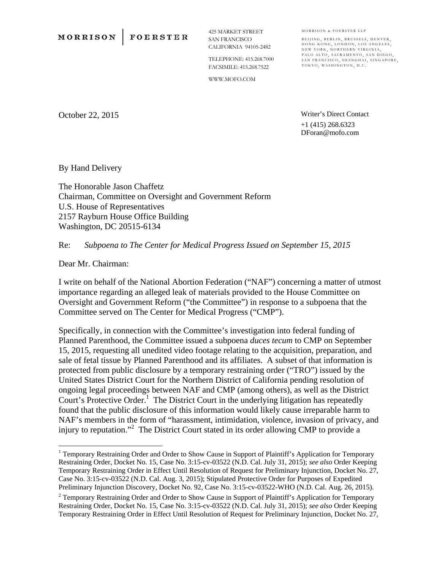**FOERSTER** 

425 MARKET STREET SAN FRANCISCO CALIFORNIA 94105-2482

TELEPHONE: 415.268.7000 FACSIMILE: 415.268.7522

WWW.MOFO.COM

MORRISON & FOERSTER LLP BEIJING, BERLIN, BRUSSELS, DENVER,

HONG KONG, LONDON, LOS ANGELES, NEW YORK, NORTHERN VIRGINIA, PALO ALTO, SACRAMENTO, SAN DIEGO, SAN FRANCISCO, SHANGHAI, SINGAPORE,<br>TOKYO, WASHINGTON, D.C.

October 22, 2015

Writer's Direct Contact +1 (415) 268.6323 DForan@mofo.com

By Hand Delivery

The Honorable Jason Chaffetz Chairman, Committee on Oversight and Government Reform U.S. House of Representatives 2157 Rayburn House Office Building Washington, DC 20515-6134

Re: *Subpoena to The Center for Medical Progress Issued on September 15, 2015*

Dear Mr. Chairman:

1

I write on behalf of the National Abortion Federation ("NAF") concerning a matter of utmost importance regarding an alleged leak of materials provided to the House Committee on Oversight and Government Reform ("the Committee") in response to a subpoena that the Committee served on The Center for Medical Progress ("CMP").

Specifically, in connection with the Committee's investigation into federal funding of Planned Parenthood, the Committee issued a subpoena *duces tecum* to CMP on September 15, 2015, requesting all unedited video footage relating to the acquisition, preparation, and sale of fetal tissue by Planned Parenthood and its affiliates. A subset of that information is protected from public disclosure by a temporary restraining order ("TRO") issued by the United States District Court for the Northern District of California pending resolution of ongoing legal proceedings between NAF and CMP (among others), as well as the District Court's Protective Order.<sup>1</sup> The District Court in the underlying litigation has repeatedly found that the public disclosure of this information would likely cause irreparable harm to NAF's members in the form of "harassment, intimidation, violence, invasion of privacy, and injury to reputation."<sup>2</sup> The District Court stated in its order allowing CMP to provide a

<sup>&</sup>lt;sup>1</sup> Temporary Restraining Order and Order to Show Cause in Support of Plaintiff's Application for Temporary Restraining Order, Docket No. 15, Case No. 3:15-cv-03522 (N.D. Cal. July 31, 2015); *see also* Order Keeping Temporary Restraining Order in Effect Until Resolution of Request for Preliminary Injunction, Docket No. 27, Case No. 3:15-cv-03522 (N.D. Cal. Aug. 3, 2015); Stipulated Protective Order for Purposes of Expedited Preliminary Injunction Discovery, Docket No. 92, Case No. 3:15-cv-03522-WHO (N.D. Cal. Aug. 26, 2015).

<sup>&</sup>lt;sup>2</sup> Temporary Restraining Order and Order to Show Cause in Support of Plaintiff's Application for Temporary Restraining Order, Docket No. 15, Case No. 3:15-cv-03522 (N.D. Cal. July 31, 2015); *see also* Order Keeping Temporary Restraining Order in Effect Until Resolution of Request for Preliminary Injunction, Docket No. 27,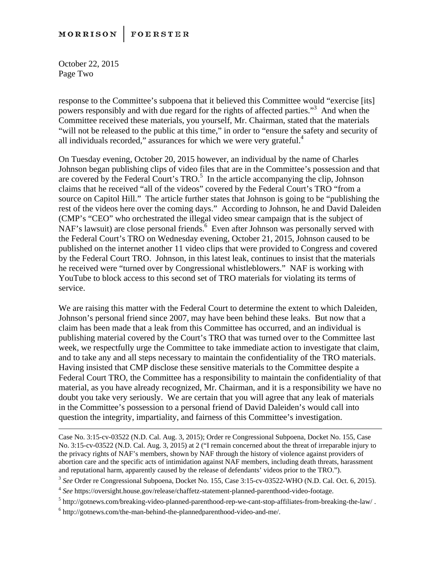## **MORRISON FOERSTER**

October 22, 2015 Page Two

response to the Committee's subpoena that it believed this Committee would "exercise [its] powers responsibly and with due regard for the rights of affected parties."3 And when the Committee received these materials, you yourself, Mr. Chairman, stated that the materials "will not be released to the public at this time," in order to "ensure the safety and security of all individuals recorded," assurances for which we were very grateful. $4$ 

On Tuesday evening, October 20, 2015 however, an individual by the name of Charles Johnson began publishing clips of video files that are in the Committee's possession and that are covered by the Federal Court's  $TRO<sup>5</sup>$  In the article accompanying the clip, Johnson claims that he received "all of the videos" covered by the Federal Court's TRO "from a source on Capitol Hill." The article further states that Johnson is going to be "publishing the rest of the videos here over the coming days." According to Johnson, he and David Daleiden (CMP's "CEO" who orchestrated the illegal video smear campaign that is the subject of NAF's lawsuit) are close personal friends.<sup>6</sup> Even after Johnson was personally served with the Federal Court's TRO on Wednesday evening, October 21, 2015, Johnson caused to be published on the internet another 11 video clips that were provided to Congress and covered by the Federal Court TRO. Johnson, in this latest leak, continues to insist that the materials he received were "turned over by Congressional whistleblowers." NAF is working with YouTube to block access to this second set of TRO materials for violating its terms of service.

We are raising this matter with the Federal Court to determine the extent to which Daleiden, Johnson's personal friend since 2007, may have been behind these leaks. But now that a claim has been made that a leak from this Committee has occurred, and an individual is publishing material covered by the Court's TRO that was turned over to the Committee last week, we respectfully urge the Committee to take immediate action to investigate that claim, and to take any and all steps necessary to maintain the confidentiality of the TRO materials. Having insisted that CMP disclose these sensitive materials to the Committee despite a Federal Court TRO, the Committee has a responsibility to maintain the confidentiality of that material, as you have already recognized, Mr. Chairman, and it is a responsibility we have no doubt you take very seriously. We are certain that you will agree that any leak of materials in the Committee's possession to a personal friend of David Daleiden's would call into question the integrity, impartiality, and fairness of this Committee's investigation.

Case No. 3:15-cv-03522 (N.D. Cal. Aug. 3, 2015); Order re Congressional Subpoena, Docket No. 155, Case No. 3:15-cv-03522 (N.D. Cal. Aug. 3, 2015) at 2 ("I remain concerned about the threat of irreparable injury to the privacy rights of NAF's members, shown by NAF through the history of violence against providers of abortion care and the specific acts of intimidation against NAF members, including death threats, harassment and reputational harm, apparently caused by the release of defendants' videos prior to the TRO.").

<sup>3</sup> *See* Order re Congressional Subpoena, Docket No. 155, Case 3:15-cv-03522-WHO (N.D. Cal. Oct. 6, 2015).

<sup>4</sup> *See* https://oversight.house.gov/release/chaffetz-statement-planned-parenthood-video-footage. 5

<sup>&</sup>lt;sup>5</sup> http://gotnews.com/breaking-video-planned-parenthood-rep-we-cant-stop-affiliates-from-breaking-the-law/.

 $6$  http://gotnews.com/the-man-behind-the-plannedparenthood-video-and-me/.